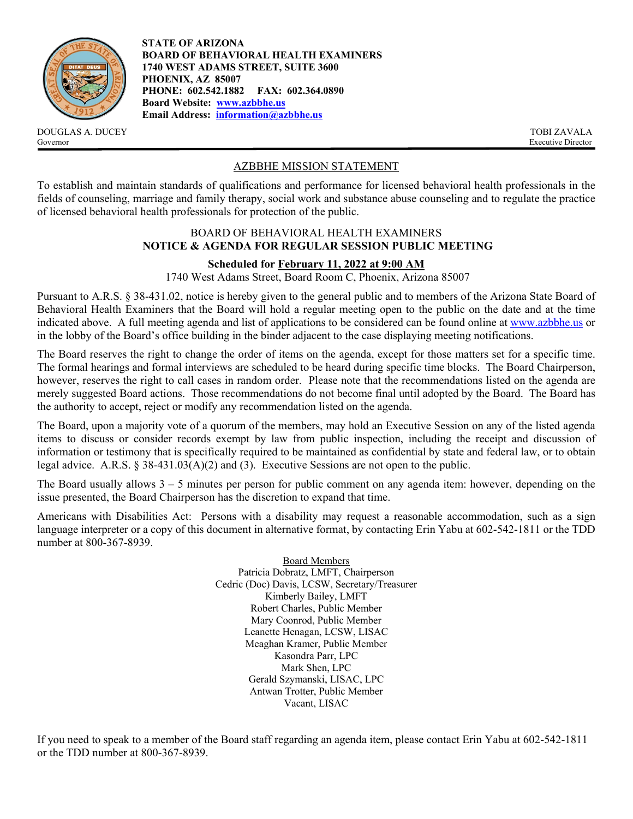

DOUGLAS A. DUCEY TOBI ZAVALA Governor Executive Director

**STATE OF ARIZONA BOARD OF BEHAVIORAL HEALTH EXAMINERS 1740 WEST ADAMS STREET, SUITE 3600 PHOENIX, AZ 85007 PHONE: 602.542.1882 FAX: 602.364.0890 Board Website: [www.azbbhe.us](http://www.azbbhe.us/) Email Address: [information@azbbhe.us](mailto:information@azbbhe.us)**

# AZBBHE MISSION STATEMENT

To establish and maintain standards of qualifications and performance for licensed behavioral health professionals in the fields of counseling, marriage and family therapy, social work and substance abuse counseling and to regulate the practice of licensed behavioral health professionals for protection of the public.

#### BOARD OF BEHAVIORAL HEALTH EXAMINERS **NOTICE & AGENDA FOR REGULAR SESSION PUBLIC MEETING**

### **Scheduled for February 11, 2022 at 9:00 AM**

1740 West Adams Street, Board Room C, Phoenix, Arizona 85007

Pursuant to A.R.S. § 38-431.02, notice is hereby given to the general public and to members of the Arizona State Board of Behavioral Health Examiners that the Board will hold a regular meeting open to the public on the date and at the time indicated above. A full meeting agenda and list of applications to be considered can be found online at [www.azbbhe.us](http://www.azbbhe.us/) or in the lobby of the Board's office building in the binder adjacent to the case displaying meeting notifications.

The Board reserves the right to change the order of items on the agenda, except for those matters set for a specific time. The formal hearings and formal interviews are scheduled to be heard during specific time blocks. The Board Chairperson, however, reserves the right to call cases in random order. Please note that the recommendations listed on the agenda are merely suggested Board actions. Those recommendations do not become final until adopted by the Board. The Board has the authority to accept, reject or modify any recommendation listed on the agenda.

The Board, upon a majority vote of a quorum of the members, may hold an Executive Session on any of the listed agenda items to discuss or consider records exempt by law from public inspection, including the receipt and discussion of information or testimony that is specifically required to be maintained as confidential by state and federal law, or to obtain legal advice. A.R.S. § 38-431.03(A)(2) and (3). Executive Sessions are not open to the public.

The Board usually allows  $3 - 5$  minutes per person for public comment on any agenda item: however, depending on the issue presented, the Board Chairperson has the discretion to expand that time.

Americans with Disabilities Act: Persons with a disability may request a reasonable accommodation, such as a sign language interpreter or a copy of this document in alternative format, by contacting Erin Yabu at 602-542-1811 or the TDD number at 800-367-8939.

> Board Members Patricia Dobratz, LMFT, Chairperson Cedric (Doc) Davis, LCSW, Secretary/Treasurer Kimberly Bailey, LMFT Robert Charles, Public Member Mary Coonrod, Public Member Leanette Henagan, LCSW, LISAC Meaghan Kramer, Public Member Kasondra Parr, LPC Mark Shen, LPC Gerald Szymanski, LISAC, LPC Antwan Trotter, Public Member Vacant, LISAC

If you need to speak to a member of the Board staff regarding an agenda item, please contact Erin Yabu at 602-542-1811 or the TDD number at 800-367-8939.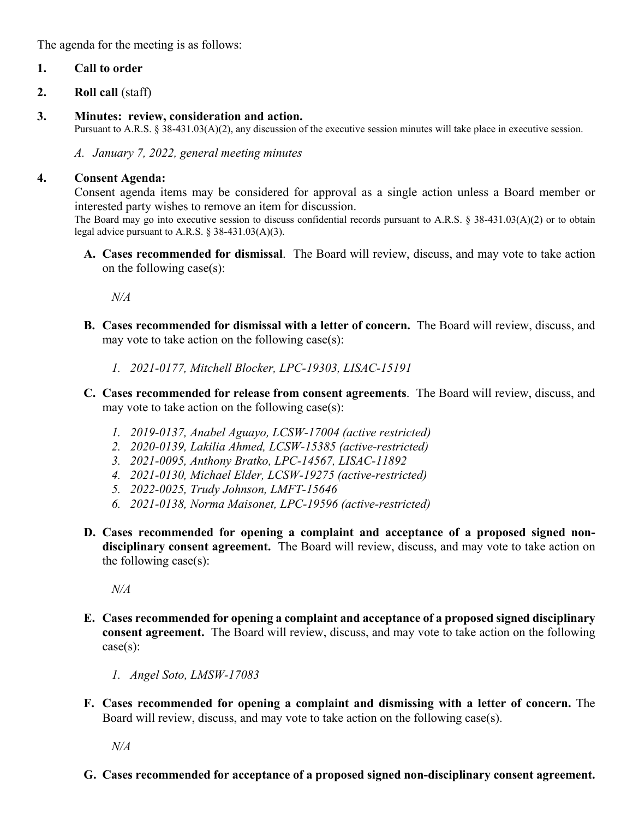The agenda for the meeting is as follows:

# **1. Call to order**

- **2. Roll call** (staff)
- **3. Minutes: review, consideration and action.**

Pursuant to A.R.S. § 38-431.03(A)(2), any discussion of the executive session minutes will take place in executive session.

*A. January 7, 2022, general meeting minutes* 

# **4. Consent Agenda:**

Consent agenda items may be considered for approval as a single action unless a Board member or interested party wishes to remove an item for discussion.

The Board may go into executive session to discuss confidential records pursuant to A.R.S. § 38-431.03(A)(2) or to obtain legal advice pursuant to A.R.S. § 38-431.03(A)(3).

**A. Cases recommended for dismissal**. The Board will review, discuss, and may vote to take action on the following case(s):

*N/A*

- **B. Cases recommended for dismissal with a letter of concern.** The Board will review, discuss, and may vote to take action on the following case(s):
	- *1. 2021-0177, Mitchell Blocker, LPC-19303, LISAC-15191*
- **C. Cases recommended for release from consent agreements**. The Board will review, discuss, and may vote to take action on the following case(s):
	- *1. 2019-0137, Anabel Aguayo, LCSW-17004 (active restricted)*
	- *2. 2020-0139, Lakilia Ahmed, LCSW-15385 (active-restricted)*
	- *3. 2021-0095, Anthony Bratko, LPC-14567, LISAC-11892*
	- *4. 2021-0130, Michael Elder, LCSW-19275 (active-restricted)*
	- *5. 2022-0025, Trudy Johnson, LMFT-15646*
	- *6. 2021-0138, Norma Maisonet, LPC-19596 (active-restricted)*
- **D. Cases recommended for opening a complaint and acceptance of a proposed signed nondisciplinary consent agreement.** The Board will review, discuss, and may vote to take action on the following case(s):

*N/A*

- **E. Cases recommended for opening a complaint and acceptance of a proposed signed disciplinary consent agreement.** The Board will review, discuss, and may vote to take action on the following  $case(s)$ :
	- *1. Angel Soto, LMSW-17083*
- **F. Cases recommended for opening a complaint and dismissing with a letter of concern.** The Board will review, discuss, and may vote to take action on the following case(s).

*N/A*

**G. Cases recommended for acceptance of a proposed signed non-disciplinary consent agreement.**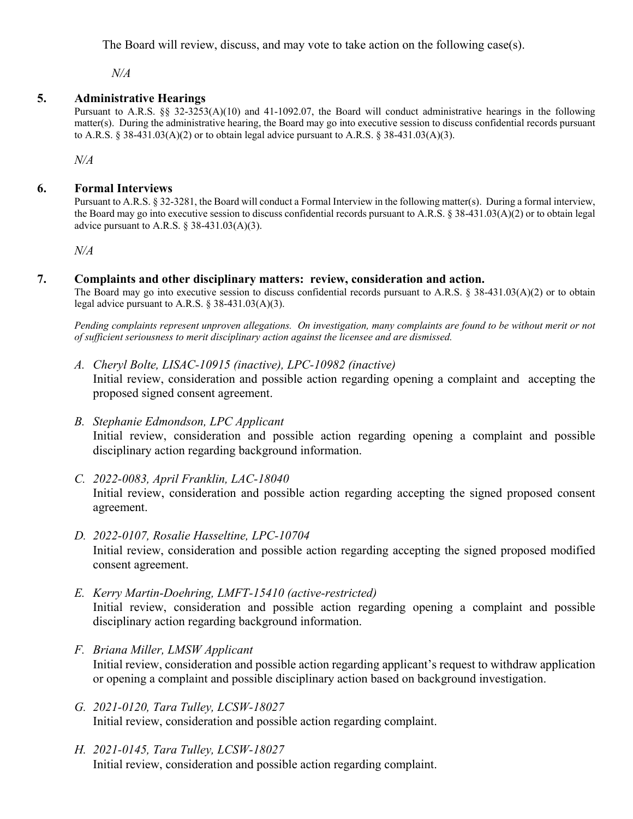The Board will review, discuss, and may vote to take action on the following case(s).

*N/A*

# **5. Administrative Hearings**

Pursuant to A.R.S. §§ 32-3253(A)(10) and 41-1092.07, the Board will conduct administrative hearings in the following matter(s). During the administrative hearing, the Board may go into executive session to discuss confidential records pursuant to A.R.S. § 38-431.03(A)(2) or to obtain legal advice pursuant to A.R.S. § 38-431.03(A)(3).

*N/A*

### **6. Formal Interviews**

Pursuant to A.R.S. § 32-3281, the Board will conduct a Formal Interview in the following matter(s).During a formal interview, the Board may go into executive session to discuss confidential records pursuant to A.R.S. § 38-431.03(A)(2) or to obtain legal advice pursuant to A.R.S. § 38-431.03(A)(3).

 *N/A*

# **7. Complaints and other disciplinary matters: review, consideration and action.**

The Board may go into executive session to discuss confidential records pursuant to A.R.S. § 38-431.03(A)(2) or to obtain legal advice pursuant to A.R.S.  $\S$  38-431.03(A)(3).

*Pending complaints represent unproven allegations. On investigation, many complaints are found to be without merit or not of sufficient seriousness to merit disciplinary action against the licensee and are dismissed.*

- *A. Cheryl Bolte, LISAC-10915 (inactive), LPC-10982 (inactive)* Initial review, consideration and possible action regarding opening a complaint and accepting the proposed signed consent agreement.
- *B. Stephanie Edmondson, LPC Applicant* Initial review, consideration and possible action regarding opening a complaint and possible disciplinary action regarding background information.
- *C. 2022-0083, April Franklin, LAC-18040* Initial review, consideration and possible action regarding accepting the signed proposed consent agreement.
- *D. 2022-0107, Rosalie Hasseltine, LPC-10704* Initial review, consideration and possible action regarding accepting the signed proposed modified consent agreement.
- *E. Kerry Martin-Doehring, LMFT-15410 (active-restricted)* Initial review, consideration and possible action regarding opening a complaint and possible disciplinary action regarding background information.
- *F. Briana Miller, LMSW Applicant* Initial review, consideration and possible action regarding applicant's request to withdraw application or opening a complaint and possible disciplinary action based on background investigation.
- *G. 2021-0120, Tara Tulley, LCSW-18027* Initial review, consideration and possible action regarding complaint.
- *H. 2021-0145, Tara Tulley, LCSW-18027* Initial review, consideration and possible action regarding complaint.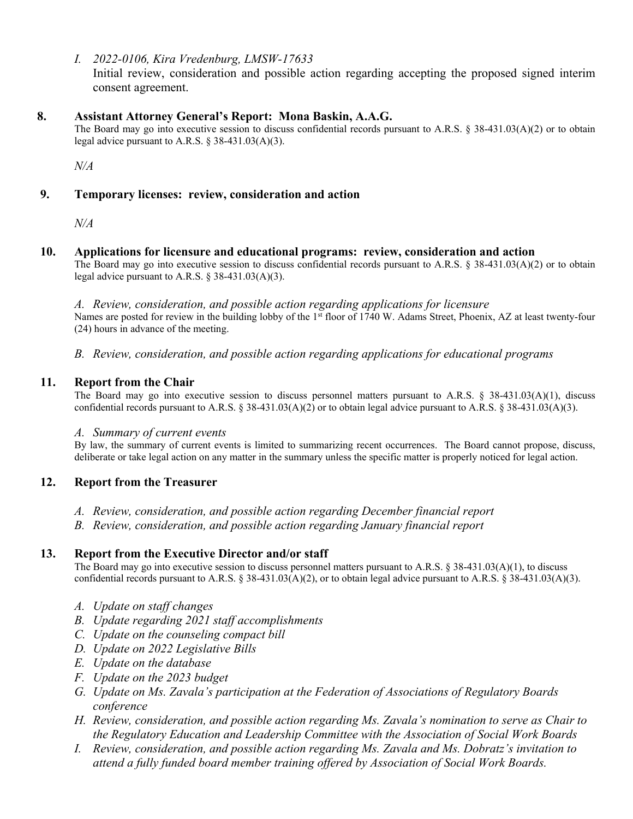*I. 2022-0106, Kira Vredenburg, LMSW-17633*

Initial review, consideration and possible action regarding accepting the proposed signed interim consent agreement.

### **8. Assistant Attorney General's Report: Mona Baskin, A.A.G.**

The Board may go into executive session to discuss confidential records pursuant to A.R.S.  $\S$  38-431.03(A)(2) or to obtain legal advice pursuant to A.R.S. § 38-431.03(A)(3).

*N/A*

# **9. Temporary licenses: review, consideration and action**

*N/A*

#### **10. Applications for licensure and educational programs: review, consideration and action**

The Board may go into executive session to discuss confidential records pursuant to A.R.S. § 38-431.03(A)(2) or to obtain legal advice pursuant to A.R.S. § 38-431.03(A)(3).

*A. Review, consideration, and possible action regarding applications for licensure* Names are posted for review in the building lobby of the 1<sup>st</sup> floor of 1740 W. Adams Street, Phoenix, AZ at least twenty-four (24) hours in advance of the meeting.

*B. Review, consideration, and possible action regarding applications for educational programs*

### **11. Report from the Chair**

The Board may go into executive session to discuss personnel matters pursuant to A.R.S.  $\S$  38-431.03(A)(1), discuss confidential records pursuant to A.R.S. § 38-431.03(A)(2) or to obtain legal advice pursuant to A.R.S. § 38-431.03(A)(3).

#### *A. Summary of current events*

By law, the summary of current events is limited to summarizing recent occurrences. The Board cannot propose, discuss, deliberate or take legal action on any matter in the summary unless the specific matter is properly noticed for legal action.

# **12. Report from the Treasurer**

- *A. Review, consideration, and possible action regarding December financial report*
- *B. Review, consideration, and possible action regarding January financial report*

# **13. Report from the Executive Director and/or staff**

The Board may go into executive session to discuss personnel matters pursuant to A.R.S. § 38-431.03(A)(1), to discuss confidential records pursuant to A.R.S. § 38-431.03(A)(2), or to obtain legal advice pursuant to A.R.S. § 38-431.03(A)(3).

- *A. Update on staff changes*
- *B. Update regarding 2021 staff accomplishments*
- *C. Update on the counseling compact bill*
- *D. Update on 2022 Legislative Bills*
- *E. Update on the database*
- *F. Update on the 2023 budget*
- *G. Update on Ms. Zavala's participation at the Federation of Associations of Regulatory Boards conference*
- *H. Review, consideration, and possible action regarding Ms. Zavala's nomination to serve as Chair to the Regulatory Education and Leadership Committee with the Association of Social Work Boards*
- *I. Review, consideration, and possible action regarding Ms. Zavala and Ms. Dobratz's invitation to attend a fully funded board member training offered by Association of Social Work Boards.*